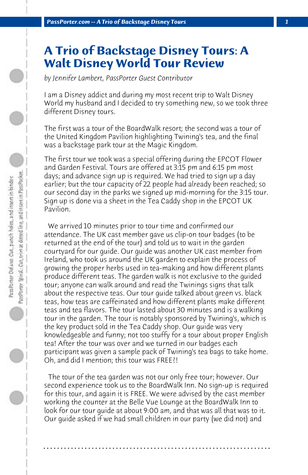## **A Trio of Backstage Disney Tours: A Walt Disney World Tour Review**

*by Jennifer Lambert, PassPorter Guest Contributor*

I am a Disney addict and during my most recent trip to Walt Disney World my husband and I decided to try something new, so we took three different Disney tours.

The first was a tour of the BoardWalk resort; the second was a tour of the United Kingdom Pavilion highlighting Twining's tea, and the final was a backstage park tour at the Magic Kingdom.

The first tour we took was a special offering during the EPCOT Flower and Garden Festival. Tours are offered at 3:15 pm and 6:15 pm most days; and advance sign up is required. We had tried to sign up a day earlier; but the tour capacity of 22 people had already been reached; so our second day in the parks we signed up mid-morning for the 3:15 tour. Sign up is done via a sheet in the Tea Caddy shop in the EPCOT UK Pavilion.

 We arrived 10 minutes prior to tour time and confirmed our attendance. The UK cast member gave us clip-on tour badges (to be returned at the end of the tour) and told us to wait in the garden courtyard for our guide. Our guide was another UK cast member from Ireland, who took us around the UK garden to explain the process of growing the proper herbs used in tea-making and how different plants produce different teas. The garden walk is not exclusive to the guided tour; anyone can walk around and read the Twinings signs that talk about the respective teas. Our tour guide talked about green vs. black teas, how teas are caffeinated and how different plants make different teas and tea flavors. The tour lasted about 30 minutes and is a walking tour in the garden. The tour is notably sponsored by Twining's, which is the key product sold in the Tea Caddy shop. Our guide was very knowledgeable and funny; not too stuffy for a tour about proper English tea! After the tour was over and we turned in our badges each participant was given a sample pack of Twining's tea bags to take home. Oh, and did I mention; this tour was FREE?!

 The tour of the tea garden was not our only free tour; however. Our second experience took us to the BoardWalk Inn. No sign-up is required for this tour, and again it is FREE. We were advised by the cast member working the counter at the Belle Vue Lounge at the BoardWalk Inn to look for our tour guide at about 9:00 am, and that was all that was to it. Our guide asked if we had small children in our party (we did not) and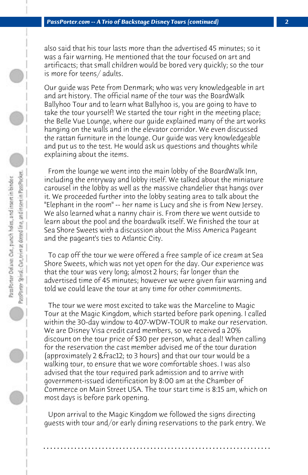also said that his tour lasts more than the advertised 45 minutes; so it was a fair warning. He mentioned that the tour focused on art and artificacts; that small children would be bored very quickly; so the tour is more for teens/ adults.

Our guide was Pete from Denmark; who was very knowledgeable in art and art history. The official name of the tour was the BoardWalk Ballyhoo Tour and to learn what Ballyhoo is, you are going to have to take the tour yourself! We started the tour right in the meeting place; the Belle Vue Lounge, where our guide explained many of the art works hanging on the walls and in the elevator corridor. We even discussed the rattan furniture in the lounge. Our guide was very knowledgeable and put us to the test. He would ask us questions and thoughts while explaining about the items.

 From the lounge we went into the main lobby of the BoardWalk Inn, including the entryway and lobby itself. We talked about the miniature carousel in the lobby as well as the massive chandelier that hangs over it. We proceeded further into the lobby seating area to talk about the "Elephant in the room" -- her name is Lucy and she is from New Jersey. We also learned what a nanny chair is. From there we went outside to learn about the pool and the boardwalk itself. We finished the tour at Sea Shore Sweets with a discussion about the Miss America Pageant and the pageant's ties to Atlantic City.

 To cap off the tour we were offered a free sample of ice cream at Sea Shore Sweets, which was not yet open for the day. Our experience was that the tour was very long; almost 2 hours; far longer than the advertised time of 45 minutes; however we were given fair warning and told we could leave the tour at any time for other commitments.

 The tour we were most excited to take was the Marceline to Magic Tour at the Magic Kingdom, which started before park opening. I called within the 30-day window to 407-WDW-TOUR to make our reservation. We are Disney Visa credit card members, so we received a 20% discount on the tour price of \$30 per person, what a deal! When calling for the reservation the cast member advised me of the tour duration (approximately 2 & frac12; to 3 hours) and that our tour would be a walking tour, to ensure that we wore comfortable shoes. I was also advised that the tour required park admission and to arrive with government-issued identification by 8:00 am at the Chamber of Commerce on Main Street USA. The tour start time is 8:15 am, which on most days is before park opening.

 Upon arrival to the Magic Kingdom we followed the signs directing guests with tour and/or early dining reservations to the park entry. We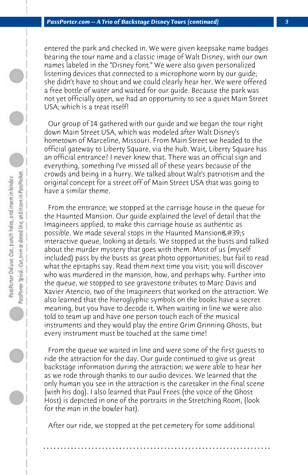entered the park and checked in. We were given keepsake name badges bearing the tour name and a classic image of Walt Disney, with our own names labeled in the "Disney font." We were also given personalized listening devices that connected to a microphone worn by our guide; she didn't have to shout and we could clearly hear her. We were offered a free bottle of water and waited for our guide. Because the park was not yet officially open, we had an opportunity to see a quiet Main Street USA; which is a treat itself!

 Our group of 14 gathered with our guide and we began the tour right down Main Street USA, which was modeled after Walt Disney's hometown of Marceline, Missouri. From Main Street we headed to the official gateway to Liberty Square, via the hub. Wait, Liberty Square has an official entrance? I never knew that. There was an official sign and everything, something I've missed all of these years because of the crowds and being in a hurry. We talked about Walt's patriotism and the original concept for a street off of Main Street USA that was going to have a similar theme.

 From the entrance; we stopped at the carriage house in the queue for the Haunted Mansion. Our guide explained the level of detail that the Imagineers applied, to make this carriage house as authentic as possible. We made several stops in the Haunted Mansion  $\&\#39$ ; s interactive queue, looking at details. We stopped at the busts and talked about the murder mystery that goes with them. Most of us (myself included) pass by the busts as great photo opportunities; but fail to read what the epitaphs say. Read them next time you visit; you will discover who was murdered in the mansion, how, and perhaps why. Further into the queue, we stopped to see gravestone tributes to Marc Davis and Xavier Atencio, two of the Imagineers that worked on the attraction. We also learned that the hieroglyphic symbols on the books have a secret meaning, but you have to decode it. When waiting in line we were also told to team up and have one person touch each of the musical instruments and they would play the entire Grim Grinning Ghosts, but every instrument must be touched at the same time!

 From the queue we waited in line and were some of the first guests to ride the attraction for the day. Our guide continued to give us great backstage information during the attraction; we were able to hear her as we rode through thanks to our audio devices. We learned that the only human you see in the attraction is the caretaker in the final scene (with his dog). I also learned that Paul Frees (the voice of the Ghost Host) is depicted in one of the portraits in the Stretching Room, (look for the man in the bowler hat).

 After our ride, we stopped at the pet cemetery for some additional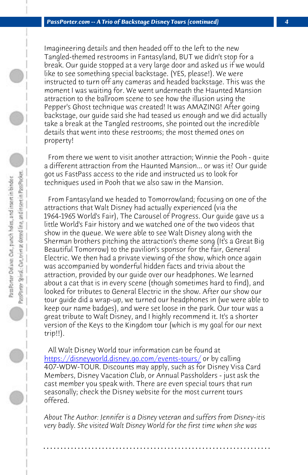*PassPorter.com -- A Trio of Backstage Disney Tours (continued) 4*

Imagineering details and then headed off to the left to the new Tangled-themed restrooms in Fantasyland, BUT we didn't stop for a break. Our guide stopped at a very large door and asked us if we would like to see something special backstage. (YES, please!). We were instructed to turn off any cameras and headed backstage. This was the moment I was waiting for. We went underneath the Haunted Mansion attraction to the ballroom scene to see how the illusion using the Pepper's Ghost technique was created! It was AMAZING! After going backstage, our guide said she had teased us enough and we did actually take a break at the Tangled restrooms, she pointed out the incredible details that went into these restrooms; the most themed ones on property!

 From there we went to visit another attraction; Winnie the Pooh - quite a different attraction from the Haunted Mansion... or was it? Our guide got us FastPass access to the ride and instructed us to look for techniques used in Pooh that we also saw in the Mansion.

 From Fantasyland we headed to Tomorrowland; focusing on one of the attractions that Walt Disney had actually experienced (via the [1964-1965 World's Fair\), The Carousel of Progress.](https://disneyworld.disney.go.com/events-tours/) Our quide gave us a little World's Fair history and we watched one of the two videos that show in the queue. We were able to see Walt Disney along with the Sherman brothers pitching the attraction's theme song (It's a Great Big Beautiful Tomorrow) to the pavilion's sponsor for the fair, General Electric. We then had a private viewing of the show, which once again was accompanied by wonderful hidden facts and trivia about the attraction, provided by our guide over our headphones. We learned about a cat that is in every scene (though sometimes hard to find), and looked for tributes to General Electric in the show. After our show our tour guide did a wrap-up, we turned our headphones in (we were able to keep our name badges), and were set loose in the park. Our tour was a great tribute to Walt Disney, and I highly recommend it. It's a shorter version of the Keys to the Kingdom tour (which is my goal for our next trip!!).

 All Walt Disney World tour information can be found at https://disneyworld.disney.go.com/events-tours/ or by calling 407-WDW-TOUR. Discounts may apply, such as for Disney Visa Card Members, Disney Vacation Club, or Annual Passholders - just ask the cast member you speak with. There are even special tours that run seasonally; check the Disney website for the most current tours offered.

*About The Author: Jennifer is a Disney veteran and suffers from Disney-itis very badly. She visited Walt Disney World for the first time when she was*